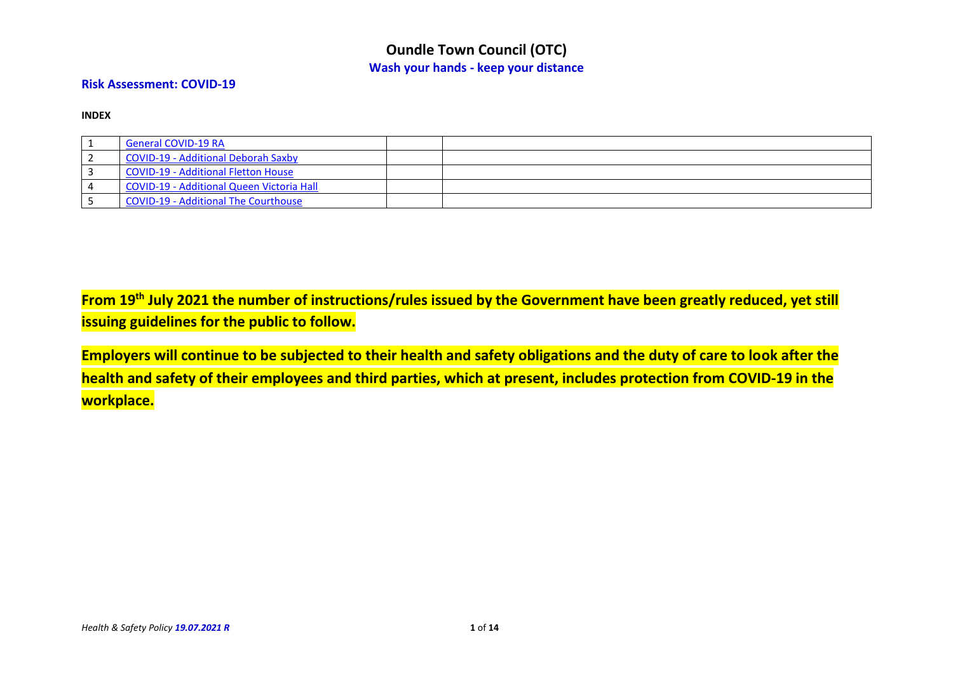#### **Risk Assessment: COVID-19**

**INDEX**

| <b>General COVID-19 RA</b>                |  |
|-------------------------------------------|--|
| COVID-19 - Additional Deborah Saxby       |  |
| COVID-19 - Additional Fletton House       |  |
| COVID-19 - Additional Queen Victoria Hall |  |
| COVID-19 - Additional The Courthouse      |  |

**From 19th July 2021 the number of instructions/rules issued by the Government have been greatly reduced, yet still issuing guidelines for the public to follow.**

**Employers will continue to be subjected to their health and safety obligations and the duty of care to look after the health and safety of their employees and third parties, which at present, includes protection from COVID-19 in the workplace.**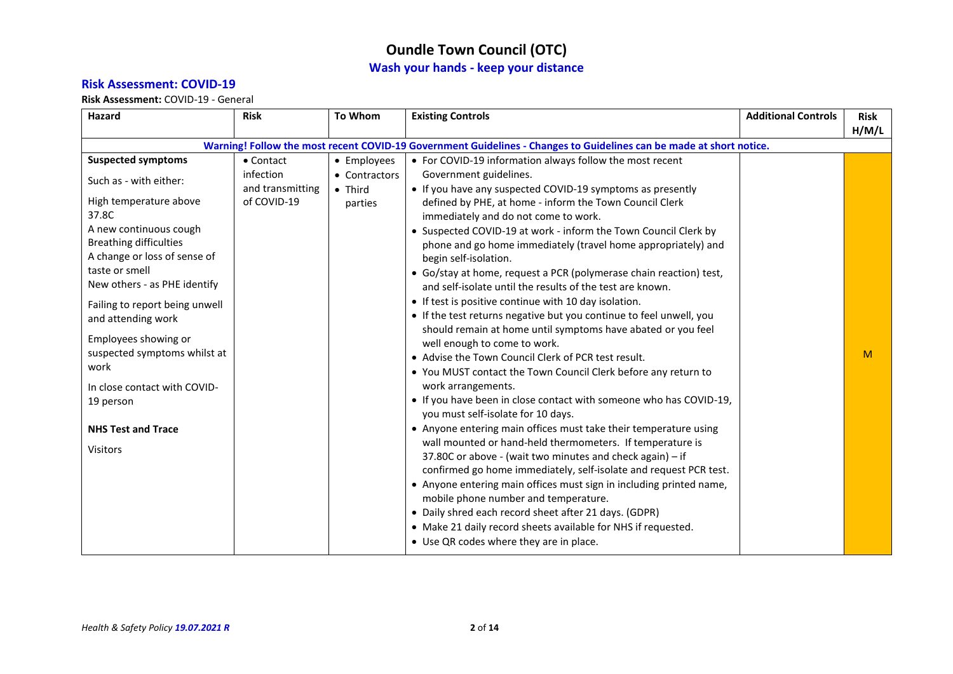#### **Risk Assessment: COVID-19**

<span id="page-1-0"></span>

|                                                                                                                                                                                                                                                                                                                                                                                                                                                          | <b>Risk</b>                                                       | To Whom                                                    | <b>Existing Controls</b>                                                                                                                                                                                                                                                                                                                                                                                                                                                                                                                                                                                                                                                                                                                                                                                                                                                                                                                                                                                                                                                                                                                                                                                                                                                                                                                                                                                                                                                                                                                                                                                                                                                          | <b>Additional Controls</b> | <b>Risk</b> |
|----------------------------------------------------------------------------------------------------------------------------------------------------------------------------------------------------------------------------------------------------------------------------------------------------------------------------------------------------------------------------------------------------------------------------------------------------------|-------------------------------------------------------------------|------------------------------------------------------------|-----------------------------------------------------------------------------------------------------------------------------------------------------------------------------------------------------------------------------------------------------------------------------------------------------------------------------------------------------------------------------------------------------------------------------------------------------------------------------------------------------------------------------------------------------------------------------------------------------------------------------------------------------------------------------------------------------------------------------------------------------------------------------------------------------------------------------------------------------------------------------------------------------------------------------------------------------------------------------------------------------------------------------------------------------------------------------------------------------------------------------------------------------------------------------------------------------------------------------------------------------------------------------------------------------------------------------------------------------------------------------------------------------------------------------------------------------------------------------------------------------------------------------------------------------------------------------------------------------------------------------------------------------------------------------------|----------------------------|-------------|
|                                                                                                                                                                                                                                                                                                                                                                                                                                                          |                                                                   |                                                            |                                                                                                                                                                                                                                                                                                                                                                                                                                                                                                                                                                                                                                                                                                                                                                                                                                                                                                                                                                                                                                                                                                                                                                                                                                                                                                                                                                                                                                                                                                                                                                                                                                                                                   |                            |             |
| <b>Suspected symptoms</b><br>Such as - with either:<br>High temperature above<br>37.8C<br>A new continuous cough<br><b>Breathing difficulties</b><br>A change or loss of sense of<br>taste or smell<br>New others - as PHE identify<br>Failing to report being unwell<br>and attending work<br>Employees showing or<br>suspected symptoms whilst at<br>work<br>In close contact with COVID-<br>19 person<br><b>NHS Test and Trace</b><br><b>Visitors</b> | $\bullet$ Contact<br>infection<br>and transmitting<br>of COVID-19 | • Employees<br>• Contractors<br>$\bullet$ Third<br>parties | Warning! Follow the most recent COVID-19 Government Guidelines - Changes to Guidelines can be made at short notice.<br>• For COVID-19 information always follow the most recent<br>Government guidelines.<br>• If you have any suspected COVID-19 symptoms as presently<br>defined by PHE, at home - inform the Town Council Clerk<br>immediately and do not come to work.<br>• Suspected COVID-19 at work - inform the Town Council Clerk by<br>phone and go home immediately (travel home appropriately) and<br>begin self-isolation.<br>• Go/stay at home, request a PCR (polymerase chain reaction) test,<br>and self-isolate until the results of the test are known.<br>• If test is positive continue with 10 day isolation.<br>• If the test returns negative but you continue to feel unwell, you<br>should remain at home until symptoms have abated or you feel<br>well enough to come to work.<br>• Advise the Town Council Clerk of PCR test result.<br>• You MUST contact the Town Council Clerk before any return to<br>work arrangements.<br>• If you have been in close contact with someone who has COVID-19,<br>you must self-isolate for 10 days.<br>• Anyone entering main offices must take their temperature using<br>wall mounted or hand-held thermometers. If temperature is<br>37.80C or above - (wait two minutes and check again) - if<br>confirmed go home immediately, self-isolate and request PCR test.<br>• Anyone entering main offices must sign in including printed name,<br>mobile phone number and temperature.<br>• Daily shred each record sheet after 21 days. (GDPR)<br>• Make 21 daily record sheets available for NHS if requested. |                            | H/M/L<br>M  |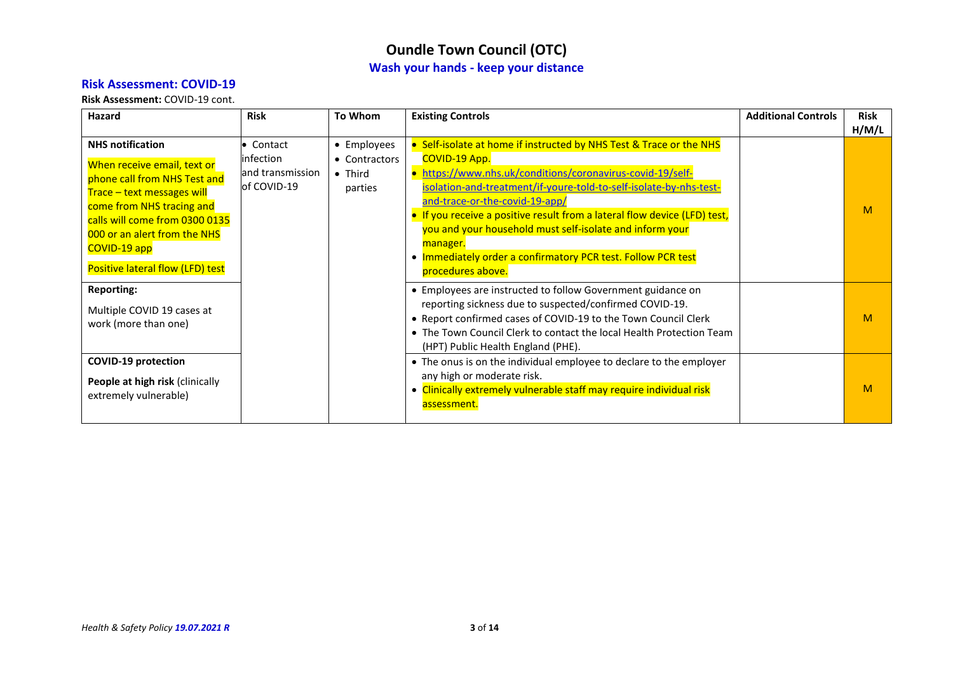#### **Risk Assessment: COVID-19**

**Risk Assessment:** COVID-19 cont.

| Hazard                                                                                                                                                                                                                                                                  | <b>Risk</b>                                                | To Whom                                                    | <b>Existing Controls</b>                                                                                                                                                                                                                                                                                                                                                                                                                                                                                  | <b>Additional Controls</b> | <b>Risk</b><br>H/M/L |
|-------------------------------------------------------------------------------------------------------------------------------------------------------------------------------------------------------------------------------------------------------------------------|------------------------------------------------------------|------------------------------------------------------------|-----------------------------------------------------------------------------------------------------------------------------------------------------------------------------------------------------------------------------------------------------------------------------------------------------------------------------------------------------------------------------------------------------------------------------------------------------------------------------------------------------------|----------------------------|----------------------|
| <b>NHS notification</b><br>When receive email, text or<br>phone call from NHS Test and<br>Trace - text messages will<br>come from NHS tracing and<br>calls will come from 0300 0135<br>000 or an alert from the NHS<br>COVID-19 app<br>Positive lateral flow (LFD) test | • Contact<br>infection<br>land transmission<br>of COVID-19 | • Employees<br>• Contractors<br>$\bullet$ Third<br>parties | • Self-isolate at home if instructed by NHS Test & Trace or the NHS<br><b>COVID-19 App.</b><br>https://www.nhs.uk/conditions/coronavirus-covid-19/self-<br>isolation-and-treatment/if-youre-told-to-self-isolate-by-nhs-test-<br>and-trace-or-the-covid-19-app/<br>• If you receive a positive result from a lateral flow device (LFD) test,<br>you and your household must self-isolate and inform your<br>manager.<br>. Immediately order a confirmatory PCR test. Follow PCR test<br>procedures above. |                            | M                    |
| <b>Reporting:</b><br>Multiple COVID 19 cases at<br>work (more than one)                                                                                                                                                                                                 |                                                            |                                                            | • Employees are instructed to follow Government guidance on<br>reporting sickness due to suspected/confirmed COVID-19.<br>• Report confirmed cases of COVID-19 to the Town Council Clerk<br>• The Town Council Clerk to contact the local Health Protection Team<br>(HPT) Public Health England (PHE).                                                                                                                                                                                                    |                            | M                    |
| <b>COVID-19 protection</b><br>People at high risk (clinically<br>extremely vulnerable)                                                                                                                                                                                  |                                                            |                                                            | • The onus is on the individual employee to declare to the employer<br>any high or moderate risk.<br>• Clinically extremely vulnerable staff may require individual risk<br>assessment.                                                                                                                                                                                                                                                                                                                   |                            | M                    |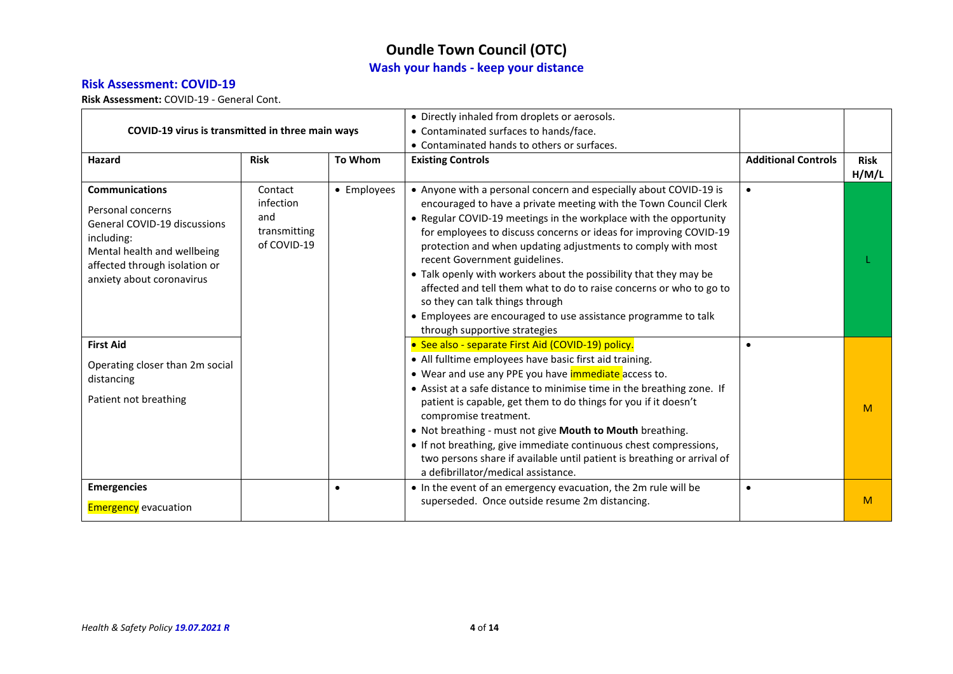#### **Risk Assessment: COVID-19**

| COVID-19 virus is transmitted in three main ways                                                                                                                                      |                                                            |             | • Directly inhaled from droplets or aerosols.<br>• Contaminated surfaces to hands/face.<br>• Contaminated hands to others or surfaces.                                                                                                                                                                                                                                                                                                                                                                                                                                                                                                                             |                            |                      |
|---------------------------------------------------------------------------------------------------------------------------------------------------------------------------------------|------------------------------------------------------------|-------------|--------------------------------------------------------------------------------------------------------------------------------------------------------------------------------------------------------------------------------------------------------------------------------------------------------------------------------------------------------------------------------------------------------------------------------------------------------------------------------------------------------------------------------------------------------------------------------------------------------------------------------------------------------------------|----------------------------|----------------------|
| <b>Hazard</b>                                                                                                                                                                         | <b>Risk</b>                                                | To Whom     | <b>Existing Controls</b>                                                                                                                                                                                                                                                                                                                                                                                                                                                                                                                                                                                                                                           | <b>Additional Controls</b> | <b>Risk</b><br>H/M/L |
| <b>Communications</b><br>Personal concerns<br>General COVID-19 discussions<br>including:<br>Mental health and wellbeing<br>affected through isolation or<br>anxiety about coronavirus | Contact<br>infection<br>and<br>transmitting<br>of COVID-19 | • Employees | • Anyone with a personal concern and especially about COVID-19 is<br>encouraged to have a private meeting with the Town Council Clerk<br>• Regular COVID-19 meetings in the workplace with the opportunity<br>for employees to discuss concerns or ideas for improving COVID-19<br>protection and when updating adjustments to comply with most<br>recent Government guidelines.<br>• Talk openly with workers about the possibility that they may be<br>affected and tell them what to do to raise concerns or who to go to<br>so they can talk things through<br>• Employees are encouraged to use assistance programme to talk<br>through supportive strategies | $\bullet$                  |                      |
| <b>First Aid</b><br>Operating closer than 2m social<br>distancing<br>Patient not breathing                                                                                            |                                                            |             | • See also - separate First Aid (COVID-19) policy.<br>• All fulltime employees have basic first aid training.<br>• Wear and use any PPE you have <i>immediate</i> access to.<br>• Assist at a safe distance to minimise time in the breathing zone. If<br>patient is capable, get them to do things for you if it doesn't<br>compromise treatment.<br>. Not breathing - must not give Mouth to Mouth breathing.<br>• If not breathing, give immediate continuous chest compressions,<br>two persons share if available until patient is breathing or arrival of<br>a defibrillator/medical assistance.                                                             | $\bullet$                  | M                    |
| <b>Emergencies</b><br><b>Emergency</b> evacuation                                                                                                                                     |                                                            |             | • In the event of an emergency evacuation, the 2m rule will be<br>superseded. Once outside resume 2m distancing.                                                                                                                                                                                                                                                                                                                                                                                                                                                                                                                                                   | $\bullet$                  | M                    |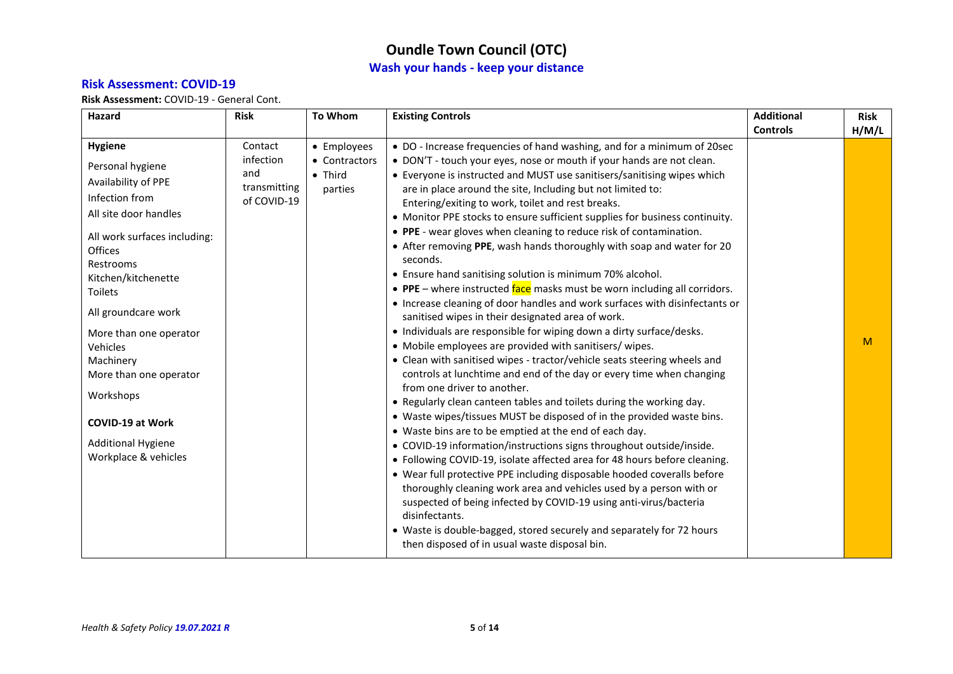### **Risk Assessment: COVID-19**

| Hazard                       | <b>Risk</b>      | <b>To Whom</b>             | <b>Existing Controls</b>                                                                                                               | <b>Additional</b> | <b>Risk</b> |
|------------------------------|------------------|----------------------------|----------------------------------------------------------------------------------------------------------------------------------------|-------------------|-------------|
|                              |                  |                            |                                                                                                                                        | <b>Controls</b>   | H/M/L       |
| <b>Hygiene</b>               | Contact          | • Employees                | • DO - Increase frequencies of hand washing, and for a minimum of 20sec                                                                |                   |             |
| Personal hygiene             | infection<br>and | • Contractors              | • DON'T - touch your eyes, nose or mouth if your hands are not clean.                                                                  |                   |             |
| Availability of PPE          | transmitting     | $\bullet$ Third<br>parties | • Everyone is instructed and MUST use sanitisers/sanitising wipes which<br>are in place around the site, Including but not limited to: |                   |             |
| Infection from               | of COVID-19      |                            | Entering/exiting to work, toilet and rest breaks.                                                                                      |                   |             |
| All site door handles        |                  |                            | • Monitor PPE stocks to ensure sufficient supplies for business continuity.                                                            |                   |             |
| All work surfaces including: |                  |                            | • PPE - wear gloves when cleaning to reduce risk of contamination.                                                                     |                   |             |
| Offices                      |                  |                            | • After removing PPE, wash hands thoroughly with soap and water for 20                                                                 |                   |             |
| Restrooms                    |                  |                            | seconds.                                                                                                                               |                   |             |
| Kitchen/kitchenette          |                  |                            | • Ensure hand sanitising solution is minimum 70% alcohol.                                                                              |                   |             |
| <b>Toilets</b>               |                  |                            | • PPE – where instructed face masks must be worn including all corridors.                                                              |                   |             |
| All groundcare work          |                  |                            | • Increase cleaning of door handles and work surfaces with disinfectants or                                                            |                   |             |
|                              |                  |                            | sanitised wipes in their designated area of work.                                                                                      |                   |             |
| More than one operator       |                  |                            | • Individuals are responsible for wiping down a dirty surface/desks.                                                                   |                   | M           |
| Vehicles                     |                  |                            | • Mobile employees are provided with sanitisers/ wipes.                                                                                |                   |             |
| Machinery                    |                  |                            | • Clean with sanitised wipes - tractor/vehicle seats steering wheels and                                                               |                   |             |
| More than one operator       |                  |                            | controls at lunchtime and end of the day or every time when changing<br>from one driver to another.                                    |                   |             |
| Workshops                    |                  |                            | • Regularly clean canteen tables and toilets during the working day.                                                                   |                   |             |
|                              |                  |                            | • Waste wipes/tissues MUST be disposed of in the provided waste bins.                                                                  |                   |             |
| <b>COVID-19 at Work</b>      |                  |                            | • Waste bins are to be emptied at the end of each day.                                                                                 |                   |             |
| <b>Additional Hygiene</b>    |                  |                            | • COVID-19 information/instructions signs throughout outside/inside.                                                                   |                   |             |
| Workplace & vehicles         |                  |                            | • Following COVID-19, isolate affected area for 48 hours before cleaning.                                                              |                   |             |
|                              |                  |                            | • Wear full protective PPE including disposable hooded coveralls before                                                                |                   |             |
|                              |                  |                            | thoroughly cleaning work area and vehicles used by a person with or                                                                    |                   |             |
|                              |                  |                            | suspected of being infected by COVID-19 using anti-virus/bacteria                                                                      |                   |             |
|                              |                  |                            | disinfectants.                                                                                                                         |                   |             |
|                              |                  |                            | • Waste is double-bagged, stored securely and separately for 72 hours                                                                  |                   |             |
|                              |                  |                            | then disposed of in usual waste disposal bin.                                                                                          |                   |             |
|                              |                  |                            |                                                                                                                                        |                   |             |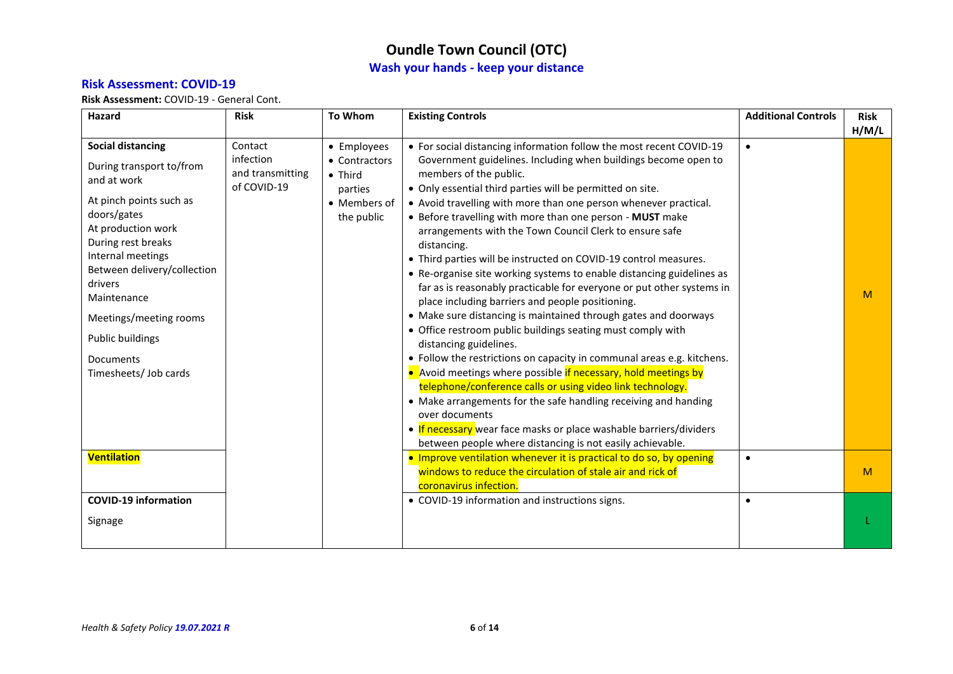#### **Risk Assessment: COVID-19**

| Hazard                                                                                                                                                                                                                                                                                                                             | <b>Risk</b>                                             | <b>To Whom</b>                                                                           | <b>Existing Controls</b>                                                                                                                                                                                                                                                                                                                                                                                                                                                                                                                                                                                                                                                                                                                                                                                                                                                                                                                                                                                                                                                                                                                                                                                                                                                                                        | <b>Additional Controls</b> | <b>Risk</b> |
|------------------------------------------------------------------------------------------------------------------------------------------------------------------------------------------------------------------------------------------------------------------------------------------------------------------------------------|---------------------------------------------------------|------------------------------------------------------------------------------------------|-----------------------------------------------------------------------------------------------------------------------------------------------------------------------------------------------------------------------------------------------------------------------------------------------------------------------------------------------------------------------------------------------------------------------------------------------------------------------------------------------------------------------------------------------------------------------------------------------------------------------------------------------------------------------------------------------------------------------------------------------------------------------------------------------------------------------------------------------------------------------------------------------------------------------------------------------------------------------------------------------------------------------------------------------------------------------------------------------------------------------------------------------------------------------------------------------------------------------------------------------------------------------------------------------------------------|----------------------------|-------------|
|                                                                                                                                                                                                                                                                                                                                    |                                                         |                                                                                          |                                                                                                                                                                                                                                                                                                                                                                                                                                                                                                                                                                                                                                                                                                                                                                                                                                                                                                                                                                                                                                                                                                                                                                                                                                                                                                                 |                            | H/M/L       |
| <b>Social distancing</b><br>During transport to/from<br>and at work<br>At pinch points such as<br>doors/gates<br>At production work<br>During rest breaks<br>Internal meetings<br>Between delivery/collection<br>drivers<br>Maintenance<br>Meetings/meeting rooms<br>Public buildings<br><b>Documents</b><br>Timesheets/ Job cards | Contact<br>infection<br>and transmitting<br>of COVID-19 | • Employees<br>• Contractors<br>$\bullet$ Third<br>parties<br>• Members of<br>the public | • For social distancing information follow the most recent COVID-19<br>Government guidelines. Including when buildings become open to<br>members of the public.<br>• Only essential third parties will be permitted on site.<br>• Avoid travelling with more than one person whenever practical.<br>• Before travelling with more than one person - MUST make<br>arrangements with the Town Council Clerk to ensure safe<br>distancing.<br>• Third parties will be instructed on COVID-19 control measures.<br>• Re-organise site working systems to enable distancing guidelines as<br>far as is reasonably practicable for everyone or put other systems in<br>place including barriers and people positioning.<br>• Make sure distancing is maintained through gates and doorways<br>• Office restroom public buildings seating must comply with<br>distancing guidelines.<br>• Follow the restrictions on capacity in communal areas e.g. kitchens.<br>• Avoid meetings where possible if necessary, hold meetings by<br>telephone/conference calls or using video link technology.<br>• Make arrangements for the safe handling receiving and handing<br>over documents<br>• If necessary wear face masks or place washable barriers/dividers<br>between people where distancing is not easily achievable. | $\bullet$                  | M           |
| <b>Ventilation</b>                                                                                                                                                                                                                                                                                                                 |                                                         |                                                                                          | • Improve ventilation whenever it is practical to do so, by opening<br>windows to reduce the circulation of stale air and rick of<br>coronavirus infection.                                                                                                                                                                                                                                                                                                                                                                                                                                                                                                                                                                                                                                                                                                                                                                                                                                                                                                                                                                                                                                                                                                                                                     | $\bullet$                  | M           |
| <b>COVID-19 information</b><br>Signage                                                                                                                                                                                                                                                                                             |                                                         |                                                                                          | • COVID-19 information and instructions signs.                                                                                                                                                                                                                                                                                                                                                                                                                                                                                                                                                                                                                                                                                                                                                                                                                                                                                                                                                                                                                                                                                                                                                                                                                                                                  | $\bullet$                  |             |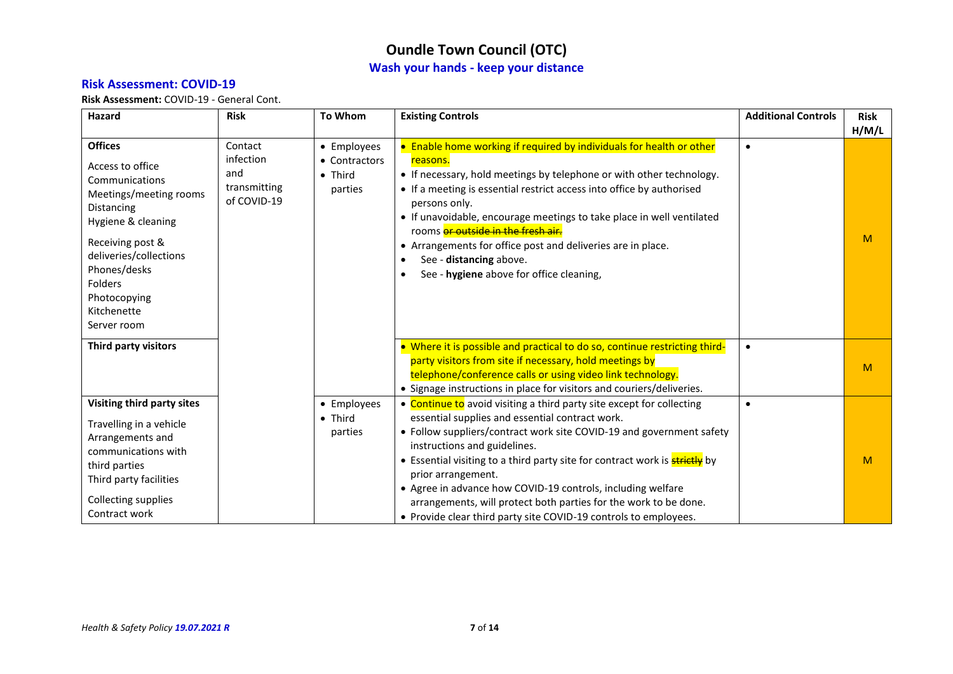### **Risk Assessment: COVID-19**

| Hazard                                                                                                                                                                                                                                    | <b>Risk</b>                                                | <b>To Whom</b>                                     | <b>Existing Controls</b>                                                                                                                                                                                                                                                                                                                                                                                                                                                                                                                            | <b>Additional Controls</b> | <b>Risk</b><br>H/M/L |
|-------------------------------------------------------------------------------------------------------------------------------------------------------------------------------------------------------------------------------------------|------------------------------------------------------------|----------------------------------------------------|-----------------------------------------------------------------------------------------------------------------------------------------------------------------------------------------------------------------------------------------------------------------------------------------------------------------------------------------------------------------------------------------------------------------------------------------------------------------------------------------------------------------------------------------------------|----------------------------|----------------------|
| <b>Offices</b><br>Access to office<br>Communications<br>Meetings/meeting rooms<br>Distancing<br>Hygiene & cleaning<br>Receiving post &<br>deliveries/collections<br>Phones/desks<br>Folders<br>Photocopying<br>Kitchenette<br>Server room | Contact<br>infection<br>and<br>transmitting<br>of COVID-19 | • Employees<br>• Contractors<br>• Third<br>parties | • Enable home working if required by individuals for health or other<br>reasons.<br>• If necessary, hold meetings by telephone or with other technology.<br>• If a meeting is essential restrict access into office by authorised<br>persons only.<br>• If unavoidable, encourage meetings to take place in well ventilated<br>rooms or outside in the fresh air.<br>• Arrangements for office post and deliveries are in place.<br>See - distancing above.<br>See - hygiene above for office cleaning,                                             | $\bullet$                  | M                    |
| Third party visitors                                                                                                                                                                                                                      |                                                            |                                                    | • Where it is possible and practical to do so, continue restricting third-<br>party visitors from site if necessary, hold meetings by<br>telephone/conference calls or using video link technology.<br>• Signage instructions in place for visitors and couriers/deliveries.                                                                                                                                                                                                                                                                        | $\bullet$                  | M                    |
| Visiting third party sites<br>Travelling in a vehicle<br>Arrangements and<br>communications with<br>third parties<br>Third party facilities<br><b>Collecting supplies</b><br>Contract work                                                |                                                            | • Employees<br>• Third<br>parties                  | • Continue to avoid visiting a third party site except for collecting<br>essential supplies and essential contract work.<br>• Follow suppliers/contract work site COVID-19 and government safety<br>instructions and guidelines.<br>• Essential visiting to a third party site for contract work is <b>strictly</b> by<br>prior arrangement.<br>• Agree in advance how COVID-19 controls, including welfare<br>arrangements, will protect both parties for the work to be done.<br>• Provide clear third party site COVID-19 controls to employees. |                            | M                    |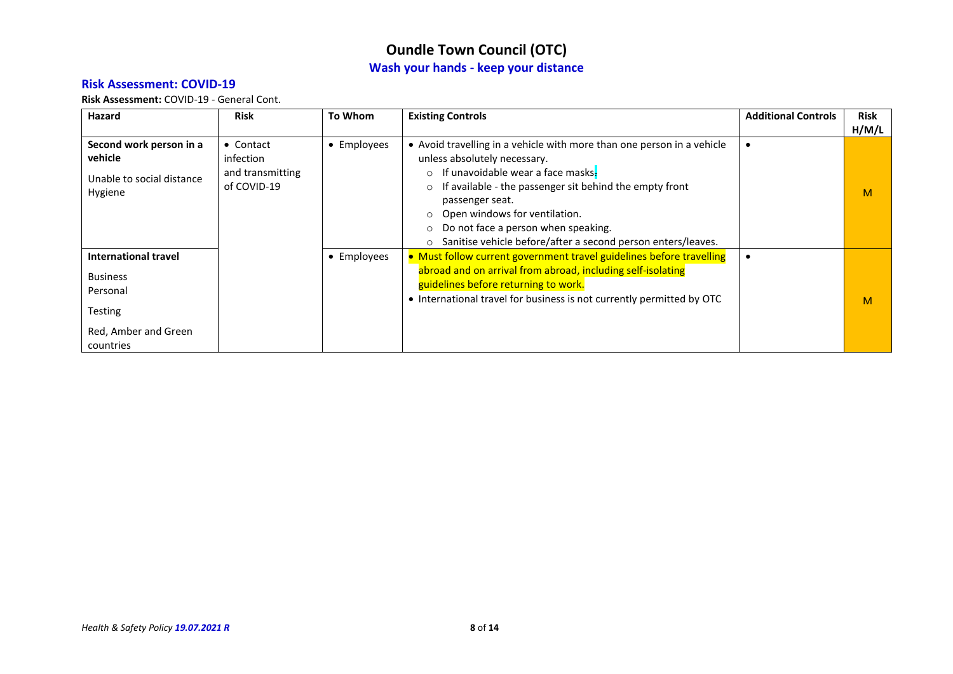#### **Risk Assessment: COVID-19**

| Hazard                                                                                                     | <b>Risk</b>                                               | To Whom     | <b>Existing Controls</b>                                                                                                                                                                                                                                                                                                                                                                                                 | <b>Additional Controls</b> | <b>Risk</b> |
|------------------------------------------------------------------------------------------------------------|-----------------------------------------------------------|-------------|--------------------------------------------------------------------------------------------------------------------------------------------------------------------------------------------------------------------------------------------------------------------------------------------------------------------------------------------------------------------------------------------------------------------------|----------------------------|-------------|
|                                                                                                            |                                                           |             |                                                                                                                                                                                                                                                                                                                                                                                                                          |                            | H/M/L       |
| Second work person in a<br>vehicle<br>Unable to social distance<br>Hygiene                                 | • Contact<br>infection<br>and transmitting<br>of COVID-19 | • Employees | • Avoid travelling in a vehicle with more than one person in a vehicle<br>unless absolutely necessary.<br>If unavoidable wear a face masks-<br>$\circ$<br>If available - the passenger sit behind the empty front<br>$\circ$<br>passenger seat.<br>Open windows for ventilation.<br>$\circ$<br>Do not face a person when speaking.<br>$\circ$<br>Sanitise vehicle before/after a second person enters/leaves.<br>$\circ$ |                            | M           |
| <b>International travel</b><br><b>Business</b><br>Personal<br>Testing<br>Red, Amber and Green<br>countries |                                                           | • Employees | • Must follow current government travel guidelines before travelling<br>abroad and on arrival from abroad, including self-isolating<br>guidelines before returning to work.<br>• International travel for business is not currently permitted by OTC                                                                                                                                                                     |                            | M           |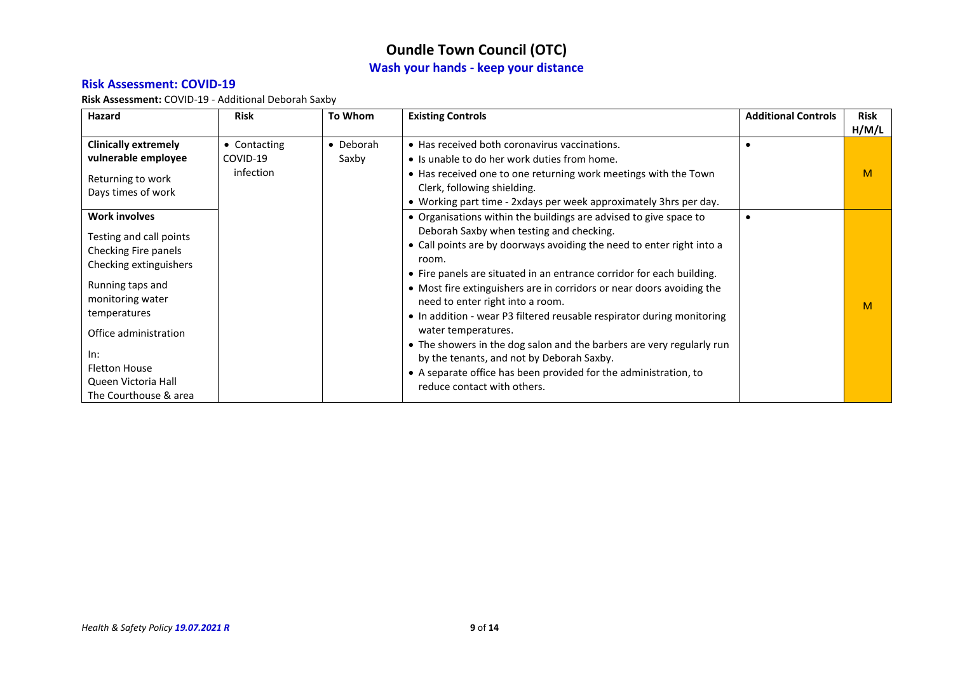#### **Risk Assessment: COVID-19**

**Risk Assessment:** COVID-19 - Additional Deborah Saxby

<span id="page-8-0"></span>

| Hazard                      | <b>Risk</b>  | To Whom   | <b>Existing Controls</b>                                               | <b>Additional Controls</b> | <b>Risk</b> |
|-----------------------------|--------------|-----------|------------------------------------------------------------------------|----------------------------|-------------|
|                             |              |           |                                                                        |                            | H/M/L       |
| <b>Clinically extremely</b> | • Contacting | • Deborah | • Has received both coronavirus vaccinations.                          |                            |             |
| vulnerable employee         | COVID-19     | Saxby     | • Is unable to do her work duties from home.                           |                            |             |
| Returning to work           | infection    |           | • Has received one to one returning work meetings with the Town        |                            | M           |
| Days times of work          |              |           | Clerk, following shielding.                                            |                            |             |
|                             |              |           | • Working part time - 2xdays per week approximately 3hrs per day.      |                            |             |
| <b>Work involves</b>        |              |           | • Organisations within the buildings are advised to give space to      |                            |             |
| Testing and call points     |              |           | Deborah Saxby when testing and checking.                               |                            |             |
| Checking Fire panels        |              |           | • Call points are by doorways avoiding the need to enter right into a  |                            |             |
| Checking extinguishers      |              |           | room.                                                                  |                            |             |
|                             |              |           | • Fire panels are situated in an entrance corridor for each building.  |                            |             |
| Running taps and            |              |           | • Most fire extinguishers are in corridors or near doors avoiding the  |                            |             |
| monitoring water            |              |           | need to enter right into a room.                                       |                            | M           |
| temperatures                |              |           | • In addition - wear P3 filtered reusable respirator during monitoring |                            |             |
| Office administration       |              |           | water temperatures.                                                    |                            |             |
|                             |              |           | • The showers in the dog salon and the barbers are very regularly run  |                            |             |
| In:                         |              |           | by the tenants, and not by Deborah Saxby.                              |                            |             |
| <b>Fletton House</b>        |              |           | • A separate office has been provided for the administration, to       |                            |             |
| Queen Victoria Hall         |              |           | reduce contact with others.                                            |                            |             |
| The Courthouse & area       |              |           |                                                                        |                            |             |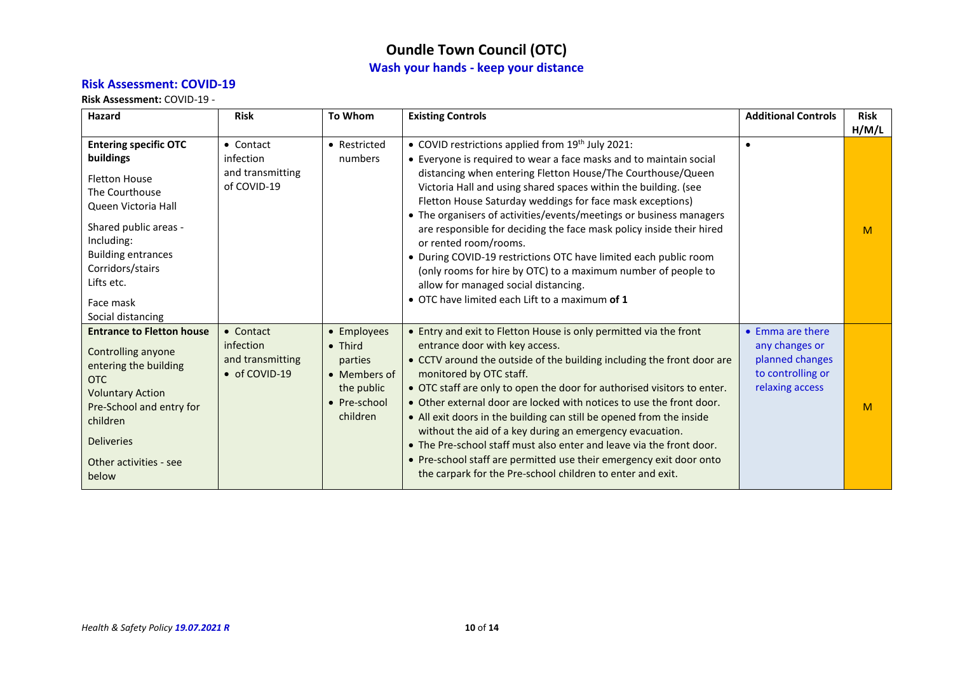#### **Risk Assessment: COVID-19**

**Risk Assessment:** COVID-19 -

| Hazard                                                                                                                                                                                                                                             | <b>Risk</b>                                                 | <b>To Whom</b>                                                                                      | <b>Existing Controls</b>                                                                                                                                                                                                                                                                                                                                                                                                                                                                                                                                                                                                                                                                                                      | <b>Additional Controls</b>                                                                    | <b>Risk</b> |
|----------------------------------------------------------------------------------------------------------------------------------------------------------------------------------------------------------------------------------------------------|-------------------------------------------------------------|-----------------------------------------------------------------------------------------------------|-------------------------------------------------------------------------------------------------------------------------------------------------------------------------------------------------------------------------------------------------------------------------------------------------------------------------------------------------------------------------------------------------------------------------------------------------------------------------------------------------------------------------------------------------------------------------------------------------------------------------------------------------------------------------------------------------------------------------------|-----------------------------------------------------------------------------------------------|-------------|
|                                                                                                                                                                                                                                                    |                                                             |                                                                                                     |                                                                                                                                                                                                                                                                                                                                                                                                                                                                                                                                                                                                                                                                                                                               |                                                                                               | H/M/L       |
| <b>Entering specific OTC</b><br>buildings<br><b>Fletton House</b><br>The Courthouse<br>Queen Victoria Hall<br>Shared public areas -<br>Including:<br><b>Building entrances</b><br>Corridors/stairs<br>Lifts etc.<br>Face mask<br>Social distancing | • Contact<br>infection<br>and transmitting<br>of COVID-19   | • Restricted<br>numbers                                                                             | • COVID restrictions applied from 19th July 2021:<br>• Everyone is required to wear a face masks and to maintain social<br>distancing when entering Fletton House/The Courthouse/Queen<br>Victoria Hall and using shared spaces within the building. (see<br>Fletton House Saturday weddings for face mask exceptions)<br>• The organisers of activities/events/meetings or business managers<br>are responsible for deciding the face mask policy inside their hired<br>or rented room/rooms.<br>• During COVID-19 restrictions OTC have limited each public room<br>(only rooms for hire by OTC) to a maximum number of people to<br>allow for managed social distancing.<br>• OTC have limited each Lift to a maximum of 1 | $\bullet$                                                                                     | M           |
| <b>Entrance to Fletton house</b><br>Controlling anyone<br>entering the building<br><b>OTC</b><br><b>Voluntary Action</b><br>Pre-School and entry for<br>children<br><b>Deliveries</b><br>Other activities - see<br>below                           | • Contact<br>infection<br>and transmitting<br>• of COVID-19 | • Employees<br>$\bullet$ Third<br>parties<br>• Members of<br>the public<br>• Pre-school<br>children | • Entry and exit to Fletton House is only permitted via the front<br>entrance door with key access.<br>• CCTV around the outside of the building including the front door are<br>monitored by OTC staff.<br>• OTC staff are only to open the door for authorised visitors to enter.<br>• Other external door are locked with notices to use the front door.<br>• All exit doors in the building can still be opened from the inside<br>without the aid of a key during an emergency evacuation.<br>• The Pre-school staff must also enter and leave via the front door.<br>. Pre-school staff are permitted use their emergency exit door onto<br>the carpark for the Pre-school children to enter and exit.                  | • Emma are there<br>any changes or<br>planned changes<br>to controlling or<br>relaxing access | M           |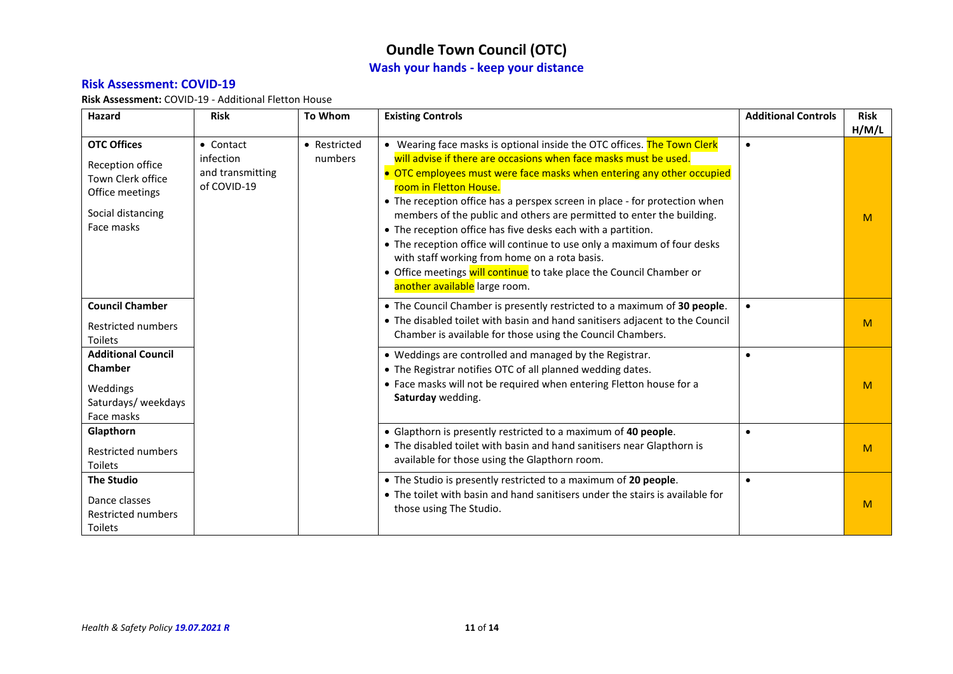#### **Risk Assessment: COVID-19**

**Risk Assessment:** COVID-19 - Additional Fletton House

| <b>Hazard</b>                                                                                                     | <b>Risk</b>                                               | <b>To Whom</b>          | <b>Existing Controls</b>                                                                                                                                                                                                                                                                                                                                                                                                                                                                                                                                                                                                                                                                                    | <b>Additional Controls</b> | <b>Risk</b><br>H/M/L                                                                                                                                                                                              |           |   |
|-------------------------------------------------------------------------------------------------------------------|-----------------------------------------------------------|-------------------------|-------------------------------------------------------------------------------------------------------------------------------------------------------------------------------------------------------------------------------------------------------------------------------------------------------------------------------------------------------------------------------------------------------------------------------------------------------------------------------------------------------------------------------------------------------------------------------------------------------------------------------------------------------------------------------------------------------------|----------------------------|-------------------------------------------------------------------------------------------------------------------------------------------------------------------------------------------------------------------|-----------|---|
| <b>OTC Offices</b><br>Reception office<br>Town Clerk office<br>Office meetings<br>Social distancing<br>Face masks | • Contact<br>infection<br>and transmitting<br>of COVID-19 | • Restricted<br>numbers | • Wearing face masks is optional inside the OTC offices. The Town Clerk<br>will advise if there are occasions when face masks must be used.<br>• OTC employees must were face masks when entering any other occupied<br>room in Fletton House.<br>• The reception office has a perspex screen in place - for protection when<br>members of the public and others are permitted to enter the building.<br>• The reception office has five desks each with a partition.<br>• The reception office will continue to use only a maximum of four desks<br>with staff working from home on a rota basis.<br>• Office meetings will continue to take place the Council Chamber or<br>another available large room. | $\bullet$                  | M                                                                                                                                                                                                                 |           |   |
| <b>Council Chamber</b><br><b>Restricted numbers</b><br><b>Toilets</b>                                             |                                                           |                         | • The Council Chamber is presently restricted to a maximum of 30 people.<br>• The disabled toilet with basin and hand sanitisers adjacent to the Council<br>Chamber is available for those using the Council Chambers.                                                                                                                                                                                                                                                                                                                                                                                                                                                                                      | $\bullet$                  | M                                                                                                                                                                                                                 |           |   |
| <b>Additional Council</b><br><b>Chamber</b><br>Weddings<br>Saturdays/ weekdays<br>Face masks                      |                                                           |                         |                                                                                                                                                                                                                                                                                                                                                                                                                                                                                                                                                                                                                                                                                                             |                            | • Weddings are controlled and managed by the Registrar.<br>• The Registrar notifies OTC of all planned wedding dates.<br>• Face masks will not be required when entering Fletton house for a<br>Saturday wedding. | $\bullet$ | M |
| Glapthorn<br><b>Restricted numbers</b><br><b>Toilets</b>                                                          |                                                           |                         | • Glapthorn is presently restricted to a maximum of 40 people.<br>• The disabled toilet with basin and hand sanitisers near Glapthorn is<br>available for those using the Glapthorn room.                                                                                                                                                                                                                                                                                                                                                                                                                                                                                                                   | $\bullet$                  | M                                                                                                                                                                                                                 |           |   |
| <b>The Studio</b><br>Dance classes<br><b>Restricted numbers</b><br>Toilets                                        |                                                           |                         | • The Studio is presently restricted to a maximum of 20 people.<br>• The toilet with basin and hand sanitisers under the stairs is available for<br>those using The Studio.                                                                                                                                                                                                                                                                                                                                                                                                                                                                                                                                 | $\bullet$                  | M                                                                                                                                                                                                                 |           |   |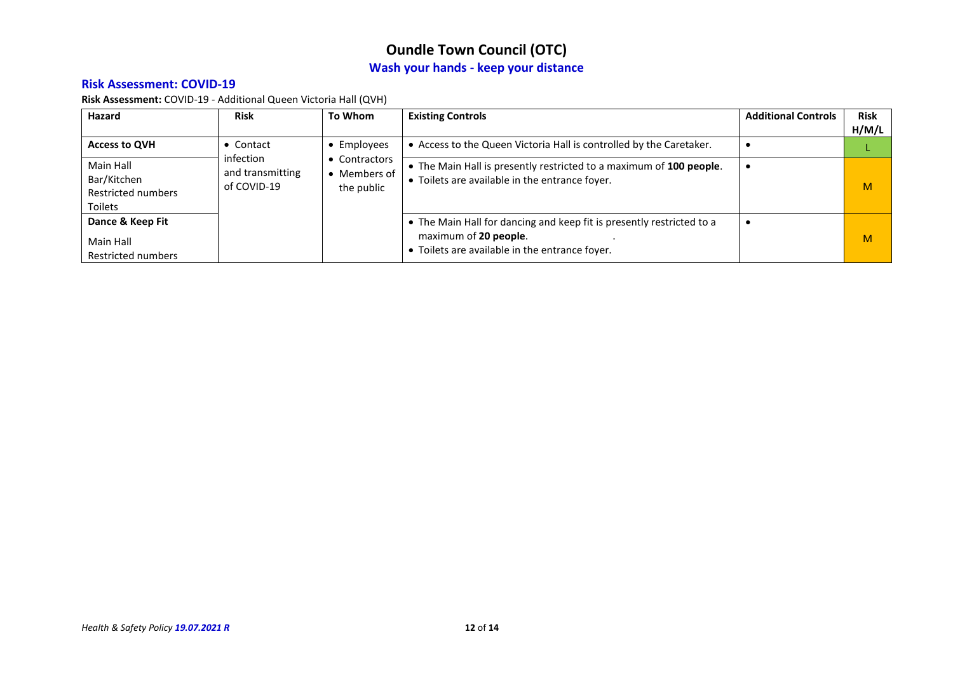#### **Risk Assessment: COVID-19**

**Risk Assessment:** COVID-19 - Additional Queen Victoria Hall (QVH)

| Hazard                                                    | <b>Risk</b>                                  | To Whom                                                    | <b>Existing Controls</b>                                                                                                                         | <b>Additional Controls</b> | <b>Risk</b><br>H/M/L |
|-----------------------------------------------------------|----------------------------------------------|------------------------------------------------------------|--------------------------------------------------------------------------------------------------------------------------------------------------|----------------------------|----------------------|
| <b>Access to QVH</b>                                      | Contact                                      | • Employees<br>• Contractors<br>• Members of<br>the public | • Access to the Queen Victoria Hall is controlled by the Caretaker.                                                                              |                            |                      |
| Main Hall<br>Bar/Kitchen<br>Restricted numbers<br>Toilets | infection<br>and transmitting<br>of COVID-19 |                                                            | • The Main Hall is presently restricted to a maximum of 100 people.<br>• Toilets are available in the entrance foyer.                            |                            | M                    |
| Dance & Keep Fit<br>Main Hall<br>Restricted numbers       |                                              |                                                            | • The Main Hall for dancing and keep fit is presently restricted to a<br>maximum of 20 people.<br>• Toilets are available in the entrance foyer. |                            | M                    |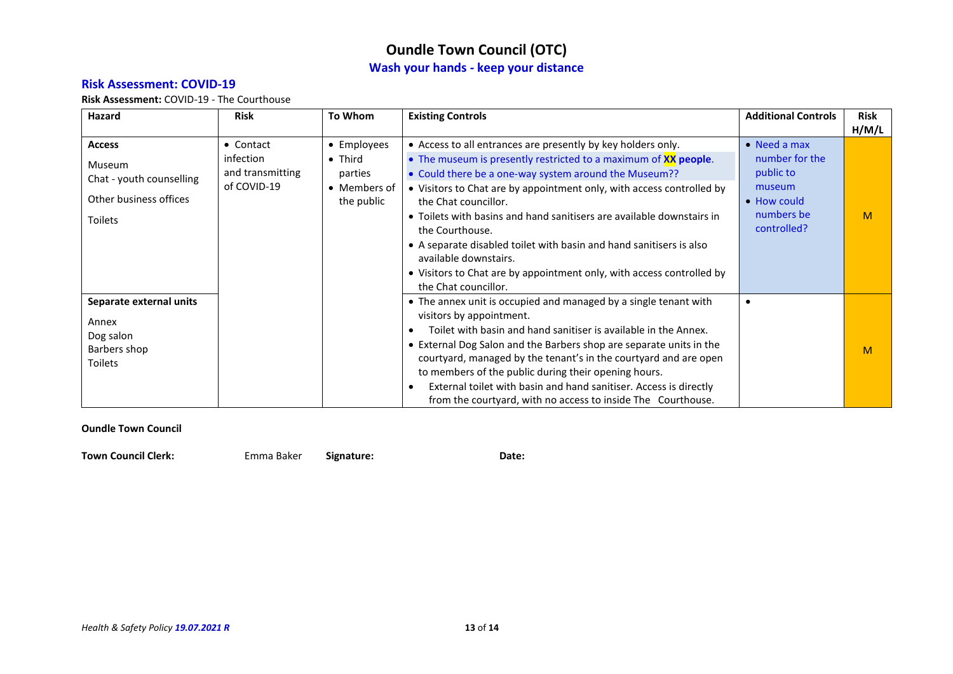#### **Risk Assessment: COVID-19**

<span id="page-12-0"></span>**Risk Assessment:** COVID-19 - The Courthouse

| Hazard                                                                                          | <b>Risk</b>                                               | <b>To Whom</b>                                                          | <b>Existing Controls</b>                                                                                                                                                                                                                                                                                                                                                                                                                                                                                                                                               | <b>Additional Controls</b>                                                                                | <b>Risk</b> |
|-------------------------------------------------------------------------------------------------|-----------------------------------------------------------|-------------------------------------------------------------------------|------------------------------------------------------------------------------------------------------------------------------------------------------------------------------------------------------------------------------------------------------------------------------------------------------------------------------------------------------------------------------------------------------------------------------------------------------------------------------------------------------------------------------------------------------------------------|-----------------------------------------------------------------------------------------------------------|-------------|
|                                                                                                 |                                                           |                                                                         |                                                                                                                                                                                                                                                                                                                                                                                                                                                                                                                                                                        |                                                                                                           | H/M/L       |
| <b>Access</b><br><b>Museum</b><br>Chat - youth counselling<br>Other business offices<br>Toilets | • Contact<br>infection<br>and transmitting<br>of COVID-19 | • Employees<br>$\bullet$ Third<br>parties<br>• Members of<br>the public | • Access to all entrances are presently by key holders only.<br>• The museum is presently restricted to a maximum of <b>XX people</b> .<br>• Could there be a one-way system around the Museum??<br>• Visitors to Chat are by appointment only, with access controlled by<br>the Chat councillor.<br>• Toilets with basins and hand sanitisers are available downstairs in<br>the Courthouse.<br>• A separate disabled toilet with basin and hand sanitisers is also<br>available downstairs.<br>• Visitors to Chat are by appointment only, with access controlled by | $\bullet$ Need a max<br>number for the<br>public to<br>museum<br>• How could<br>numbers be<br>controlled? | M           |
| Separate external units<br>Annex<br>Dog salon<br>Barbers shop<br>Toilets                        |                                                           |                                                                         | the Chat councillor.<br>• The annex unit is occupied and managed by a single tenant with<br>visitors by appointment.<br>Toilet with basin and hand sanitiser is available in the Annex.<br>• External Dog Salon and the Barbers shop are separate units in the<br>courtyard, managed by the tenant's in the courtyard and are open<br>to members of the public during their opening hours.<br>External toilet with basin and hand sanitiser. Access is directly<br>$\bullet$<br>from the courtyard, with no access to inside The Courthouse.                           |                                                                                                           | M           |

#### **Oundle Town Council**

**Town Council Clerk:** Emma Baker **Signature: Date:**